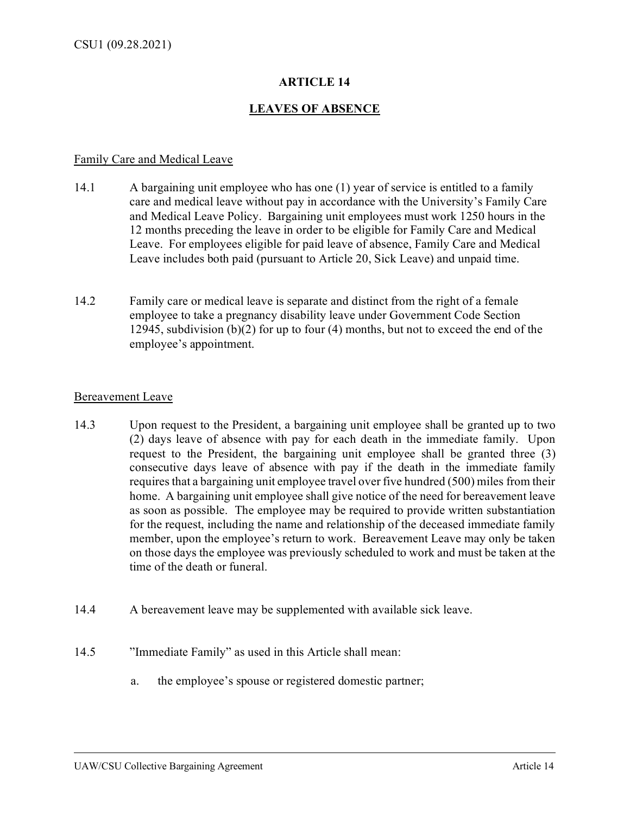# **ARTICLE 14**

## **LEAVES OF ABSENCE**

#### Family Care and Medical Leave

- 14.1 A bargaining unit employee who has one (1) year of service is entitled to a family care and medical leave without pay in accordance with the University's Family Care and Medical Leave Policy. Bargaining unit employees must work 1250 hours in the 12 months preceding the leave in order to be eligible for Family Care and Medical Leave. For employees eligible for paid leave of absence, Family Care and Medical Leave includes both paid (pursuant to Article 20, Sick Leave) and unpaid time.
- 14.2 Family care or medical leave is separate and distinct from the right of a female employee to take a pregnancy disability leave under Government Code Section 12945, subdivision (b)(2) for up to four (4) months, but not to exceed the end of the employee's appointment.

#### Bereavement Leave

- 14.3 Upon request to the President, a bargaining unit employee shall be granted up to two (2) days leave of absence with pay for each death in the immediate family. Upon request to the President, the bargaining unit employee shall be granted three (3) consecutive days leave of absence with pay if the death in the immediate family requires that a bargaining unit employee travel over five hundred (500) miles from their home. A bargaining unit employee shall give notice of the need for bereavement leave as soon as possible. The employee may be required to provide written substantiation for the request, including the name and relationship of the deceased immediate family member, upon the employee's return to work. Bereavement Leave may only be taken on those days the employee was previously scheduled to work and must be taken at the time of the death or funeral.
- 14.4 A bereavement leave may be supplemented with available sick leave.
- 14.5 "Immediate Family" as used in this Article shall mean:
	- a. the employee's spouse or registered domestic partner;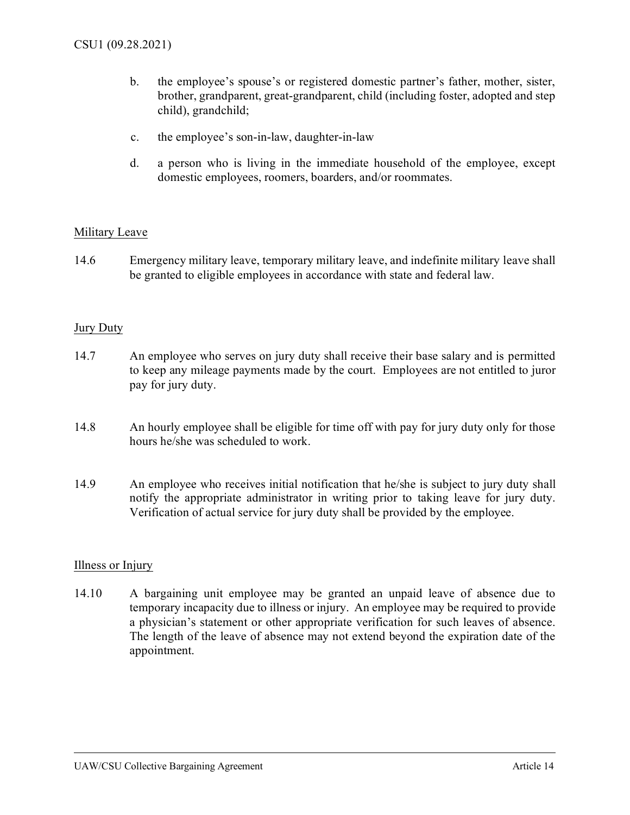- b. the employee's spouse's or registered domestic partner's father, mother, sister, brother, grandparent, great-grandparent, child (including foster, adopted and step child), grandchild;
- c. the employee's son-in-law, daughter-in-law
- d. a person who is living in the immediate household of the employee, except domestic employees, roomers, boarders, and/or roommates.

# Military Leave

14.6 Emergency military leave, temporary military leave, and indefinite military leave shall be granted to eligible employees in accordance with state and federal law.

### Jury Duty

- 14.7 An employee who serves on jury duty shall receive their base salary and is permitted to keep any mileage payments made by the court. Employees are not entitled to juror pay for jury duty.
- 14.8 An hourly employee shall be eligible for time off with pay for jury duty only for those hours he/she was scheduled to work.
- 14.9 An employee who receives initial notification that he/she is subject to jury duty shall notify the appropriate administrator in writing prior to taking leave for jury duty. Verification of actual service for jury duty shall be provided by the employee.

### Illness or Injury

14.10 A bargaining unit employee may be granted an unpaid leave of absence due to temporary incapacity due to illness or injury. An employee may be required to provide a physician's statement or other appropriate verification for such leaves of absence. The length of the leave of absence may not extend beyond the expiration date of the appointment.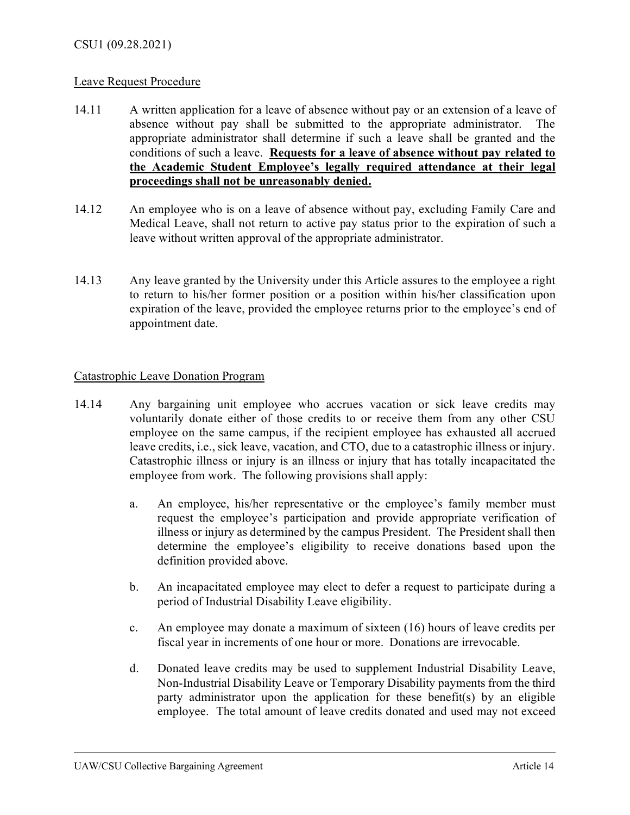## Leave Request Procedure

- 14.11 A written application for a leave of absence without pay or an extension of a leave of absence without pay shall be submitted to the appropriate administrator. The appropriate administrator shall determine if such a leave shall be granted and the conditions of such a leave. **Requests for a leave of absence without pay related to the Academic Student Employee's legally required attendance at their legal proceedings shall not be unreasonably denied.**
- 14.12 An employee who is on a leave of absence without pay, excluding Family Care and Medical Leave, shall not return to active pay status prior to the expiration of such a leave without written approval of the appropriate administrator.
- 14.13 Any leave granted by the University under this Article assures to the employee a right to return to his/her former position or a position within his/her classification upon expiration of the leave, provided the employee returns prior to the employee's end of appointment date.

# Catastrophic Leave Donation Program

- 14.14 Any bargaining unit employee who accrues vacation or sick leave credits may voluntarily donate either of those credits to or receive them from any other CSU employee on the same campus, if the recipient employee has exhausted all accrued leave credits, i.e., sick leave, vacation, and CTO, due to a catastrophic illness or injury. Catastrophic illness or injury is an illness or injury that has totally incapacitated the employee from work. The following provisions shall apply:
	- a. An employee, his/her representative or the employee's family member must request the employee's participation and provide appropriate verification of illness or injury as determined by the campus President. The President shall then determine the employee's eligibility to receive donations based upon the definition provided above.
	- b. An incapacitated employee may elect to defer a request to participate during a period of Industrial Disability Leave eligibility.
	- c. An employee may donate a maximum of sixteen (16) hours of leave credits per fiscal year in increments of one hour or more. Donations are irrevocable.
	- d. Donated leave credits may be used to supplement Industrial Disability Leave, Non-Industrial Disability Leave or Temporary Disability payments from the third party administrator upon the application for these benefit(s) by an eligible employee. The total amount of leave credits donated and used may not exceed